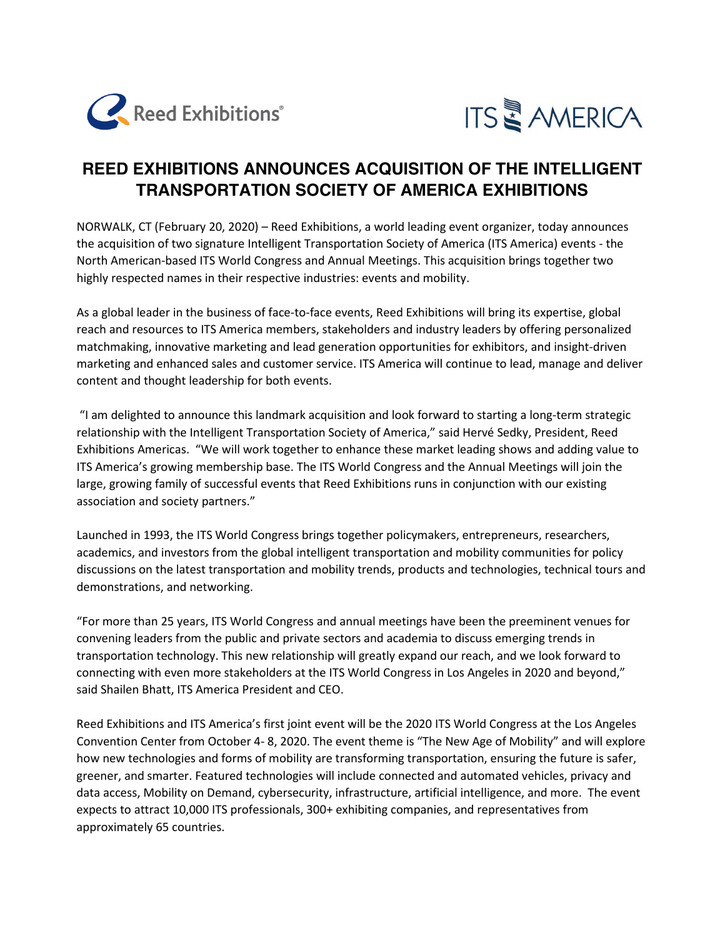



## **REED EXHIBITIONS ANNOUNCES ACQUISITION OF THE INTELLIGENT TRANSPORTATION SOCIETY OF AMERICA EXHIBITIONS**

NORWALK, CT (February 20, 2020) – Reed Exhibitions, a world leading event organizer, today announces the acquisition of two signature Intelligent Transportation Society of America (ITS America) events - the North American-based ITS World Congress and Annual Meetings. This acquisition brings together two highly respected names in their respective industries: events and mobility.

As a global leader in the business of face-to-face events, Reed Exhibitions will bring its expertise, global reach and resources to ITS America members, stakeholders and industry leaders by offering personalized matchmaking, innovative marketing and lead generation opportunities for exhibitors, and insight-driven marketing and enhanced sales and customer service. ITS America will continue to lead, manage and deliver content and thought leadership for both events.

"I am delighted to announce this landmark acquisition and look forward to starting a long-term strategic relationship with the Intelligent Transportation Society of America," said Hervé Sedky, President, Reed Exhibitions Americas. "We will work together to enhance these market leading shows and adding value to ITS America's growing membership base. The ITS World Congress and the Annual Meetings will join the large, growing family of successful events that Reed Exhibitions runs in conjunction with our existing association and society partners."

Launched in 1993, the ITS World Congress brings together policymakers, entrepreneurs, researchers, academics, and investors from the global intelligent transportation and mobility communities for policy discussions on the latest transportation and mobility trends, products and technologies, technical tours and demonstrations, and networking.

"For more than 25 years, ITS World Congress and annual meetings have been the preeminent venues for convening leaders from the public and private sectors and academia to discuss emerging trends in transportation technology. This new relationship will greatly expand our reach, and we look forward to connecting with even more stakeholders at the ITS World Congress in Los Angeles in 2020 and beyond," said Shailen Bhatt, ITS America President and CEO.

Reed Exhibitions and ITS America's first joint event will be the 2020 ITS World Congress at the Los Angeles Convention Center from October 4- 8, 2020. The event theme is "The New Age of Mobility" and will explore how new technologies and forms of mobility are transforming transportation, ensuring the future is safer, greener, and smarter. Featured technologies will include connected and automated vehicles, privacy and data access, Mobility on Demand, cybersecurity, infrastructure, artificial intelligence, and more. The event expects to attract 10,000 ITS professionals, 300+ exhibiting companies, and representatives from approximately 65 countries.